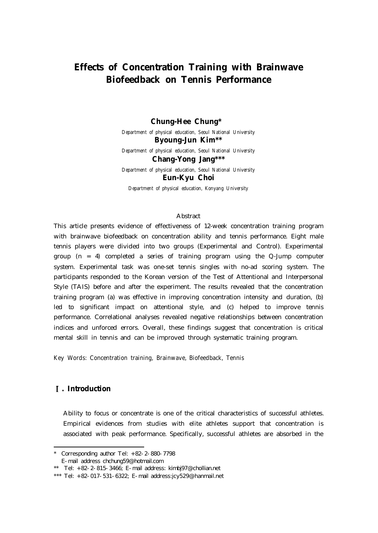# **Effects of Concentration Training with Brainwave Biofeedback on Tennis Performance**

#### **Chung-Hee Chung\*1)**

*Department of physical education, Seoul National University* **Byoung-Jun Kim\*\***

*Department of physical education, Seoul National University*

**Chang-Yong Jang\*\*\***

*Department of physical education, Seoul National University* **Eun-Kyu Choi**

*Department of physical education, Konyang University*

#### Abstract

This article presents evidence of effectiveness of 12-week concentration training program with brainwave biofeedback on concentration ability and tennis performance. Eight male tennis players were divided into two groups (Experimental and Control). Experimental group (n = 4) completed a series of training program using the Q-Jump computer system. Experimental task was one-set tennis singles with no-ad scoring system. The participants responded to the Korean version of the Test of Attentional and Interpersonal Style (TAIS) before and after the experiment. The results revealed that the concentration training program (a) was effective in improving concentration intensity and duration, (b) led to significant impact on attentional style, and (c) helped to improve tennis performance. Correlational analyses revealed negative relationships between concentration indices and unforced errors. Overall, these findings suggest that concentration is critical mental skill in tennis and can be improved through systematic training program.

Key Words: Concentration training, Brainwave, Biofeedback, Tennis

## **. Introduction**

Ability to focus or concentrate is one of the critical characteristics of successful athletes. Empirical evidences from studies with elite athletes support that concentration is associated with peak performance. Specifically, successful athletes are absorbed in the

<sup>\*</sup> Corresponding author Tel: +82-2-880-7798

E-mail address chchung59@hotmail.com

<sup>\*\*</sup> Tel:  $+82-2-815-3466$ ; E-mail address: kimbj97@chollian.net

<sup>\*\*\*</sup> Tel:  $+82-017-531-6322$ ; E-mail address:jcy529@hanmail.net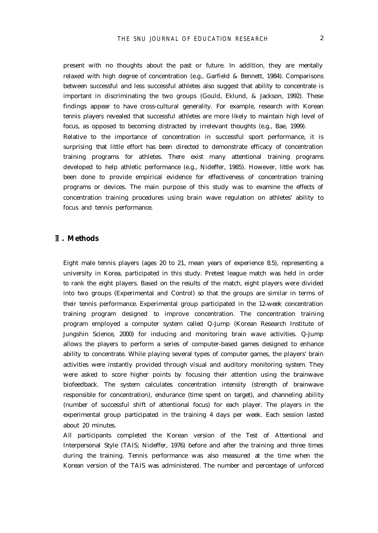present with no thoughts about the past or future. In addition, they are mentally relaxed with high degree of concentration (e.g., Garfield & Bennett, 1984). Comparisons between successful and less successful athletes also suggest that ability to concentrate is important in discriminating the two groups (Gould, Eklund, & Jackson, 1992). These findings appear to have cross-cultural generality. For example, research with Korean tennis players revealed that successful athletes are more likely to maintain high level of focus, as opposed to becoming distracted by irrelevant thoughts (e.g., Bae, 1999). Relative to the importance of concentration in successful sport performance, it is surprising that little effort has been directed to demonstrate efficacy of concentration training programs for athletes. There exist many attentional training programs developed to help athletic performance (e.g., Nideffer, 1985). However, little work has been done to provide empirical evidence for effectiveness of concentration training programs or devices. The main purpose of this study was to examine the effects of concentration training procedures using brain wave regulation on athletes' ability to focus and tennis performance.

## **. Methods**

Eight male tennis players (ages 20 to 21, mean years of experience 8.5), representing a university in Korea, participated in this study. Pretest league match was held in order to rank the eight players. Based on the results of the match, eight players were divided into two groups (Experimental and Control) so that the groups are similar in terms of their tennis performance. Experimental group participated in the 12-week concentration training program designed to improve concentration. The concentration training program employed a computer system called Q-Jump (Korean Research Institute of Jungshin Science, 2000) for inducing and monitoring brain wave activities. Q-Jump allows the players to perform a series of computer-based games designed to enhance ability to concentrate. While playing several types of computer games, the players' brain activities were instantly provided through visual and auditory monitoring system. They were asked to score higher points by focusing their attention using the brainwave biofeedback. The system calculates concentration intensity (strength of brainwave responsible for concentration), endurance (time spent on target), and channeling ability (number of successful shift of attentional focus) for each player. The players in the experimental group participated in the training 4 days per week. Each session lasted about 20 minutes.

All participants completed the Korean version of the Test of Attentional and Interpersonal Style (TAIS; Nideffer, 1976) before and after the training and three times during the training. Tennis performance was also measured at the time when the Korean version of the TAIS was administered. The number and percentage of unforced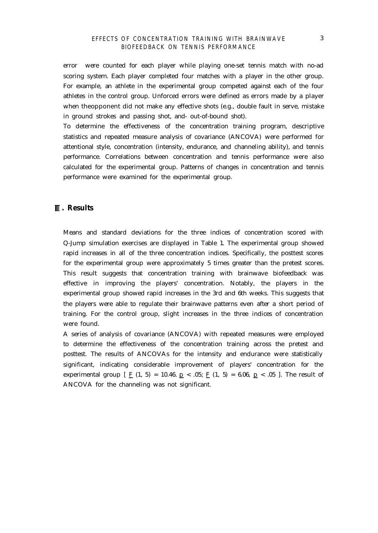#### *EFFECTS OF CONCENTRATION TRAINING WITH BRAINWAVE BIOFEEDBACK ON TENNIS PERFORMANCE*

error were counted for each player while playing one-set tennis match with no-ad scoring system. Each player completed four matches with a player in the other group. For example, an athlete in the experimental group competed against each of the four athletes in the control group. Unforced errors were defined as errors made by a player when theopponent did not make any effective shots (e.g., double fault in serve, mistake in ground strokes and passing shot, and- out-of-bound shot).

To determine the effectiveness of the concentration training program, descriptive statistics and repeated measure analysis of covariance (ANCOVA) were performed for attentional style, concentration (intensity, endurance, and channeling ability), and tennis performance. Correlations between concentration and tennis performance were also calculated for the experimental group. Patterns of changes in concentration and tennis performance were examined for the experimental group.

#### **. Results**

Means and standard deviations for the three indices of concentration scored with Q-Jump simulation exercises are displayed in Table 1. The experimental group showed rapid increases in all of the three concentration indices. Specifically, the posttest scores for the experimental group were approximately 5 times greater than the pretest scores. This result suggests that concentration training with brainwave biofeedback was effective in improving the players' concentration. Notably, the players in the experimental group showed rapid increases in the 3rd and 6th weeks. This suggests that the players were able to regulate their brainwave patterns even after a short period of training. For the control group, slight increases in the three indices of concentration were found.

A series of analysis of covariance (ANCOVA) with repeated measures were employed to determine the effectiveness of the concentration training across the pretest and posttest. The results of ANCOVAs for the intensity and endurance were statistically significant, indicating considerable improvement of players' concentration for the experimental group  $\left[\right]$  F (1, 5) = 10.46. p < .05; F (1, 5) = 6.06, p < .05 ]. The result of ANCOVA for the channeling was not significant.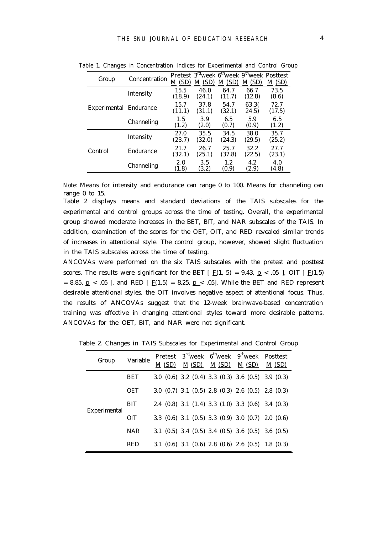| Group                  | Concentration | (SD)<br>M      | (SD)<br>М      | M(SD)          | Pretest 3 <sup>rd</sup> week 6 <sup>th</sup> week 9 <sup>th</sup> week Posttest<br>M(SD) | $\underline{M}$ (SD) |
|------------------------|---------------|----------------|----------------|----------------|------------------------------------------------------------------------------------------|----------------------|
|                        | Intensity     | 15.5<br>(18.9) | 46.0<br>(24.1) | 64.7<br>(11.7) | 66.7<br>(12.8)                                                                           | 73.5<br>(8.6)        |
| Experimental Endurance |               | 15.7<br>(11.1) | 37.8<br>(31.1) | 54.7<br>(32.1) | 63.30<br>24.5)                                                                           | 72.7<br>(17.5)       |
|                        | Channeling    | 1.5<br>(1.2)   | 3.9<br>(2.0)   | 65<br>(0.7)    | 5.9<br>(0.9)                                                                             | 6.5<br>(1.2)         |
|                        | Intensity     | 27.0<br>(23.7) | 35.5<br>(32.0) | 34.5<br>(24.3) | 38.0<br>(29.5)                                                                           | 35.7<br>(25.2)       |
| Control                | Endurance     | 21.7<br>(32.1) | 26.7<br>(25.1) | 25.7<br>(37.8) | 32.2<br>(22.5)                                                                           | 27.7<br>(23.1)       |
|                        | Channeling    | 2.0<br>(1.8)   | 3.5<br>(3.2)   | 1.2<br>(0.9)   | 4.2<br>(2.9)                                                                             | 4.0<br>(4.8)         |

Table 1. Changes in Concentration Indices for Experimental and Control Group

*Note:* Means for intensity and endurance can range 0 to 100. Means for channeling can range 0 to 15.

Table 2 displays means and standard deviations of the TAIS subscales for the experimental and control groups across the time of testing. Overall, the experimental group showed moderate increases in the BET, BIT, and NAR subscales of the TAIS. In addition, examination of the scores for the OET, OIT, and RED revealed similar trends of increases in attentional style. The control group, however, showed slight fluctuation in the TAIS subscales across the time of testing.

ANCOVAs were performed on the six TAIS subscales with the pretest and posttest scores. The results were significant for the BET  $[ E(1, 5) = 9.43, p < .05 ]$ , OIT  $[ E(1,5)$ = 8.85,  $p$  < .05 ], and RED [  $F(1,5)$  = 8.25,  $p$  < .05]. While the BET and RED represent desirable attentional styles, the OIT involves negative aspect of attentional focus. Thus, the results of ANCOVAs suggest that the 12-week brainwave-based concentration training was effective in changing attentional styles toward more desirable patterns. ANCOVAs for the OET, BIT, and NAR were not significant.

| Group        | Variable   | M (SD) | $M(SD)$ $M(SD)$ $M(SD)$ | Pretest $3^{\text{rd}}$ week $6^{\text{th}}$ week $9^{\text{th}}$ week Posttest |               |
|--------------|------------|--------|-------------------------|---------------------------------------------------------------------------------|---------------|
|              |            |        |                         |                                                                                 | <u>M (SD)</u> |
| Experimental | <b>BET</b> |        |                         | $30(0.6)$ $3.2(0.4)$ $3.3(0.3)$ $3.6(0.5)$ $3.9(0.3)$                           |               |
|              | <b>OET</b> |        |                         | 30 $(0.7)$ 3.1 $(0.5)$ 2.8 $(0.3)$ 2.6 $(0.5)$ 2.8 $(0.3)$                      |               |
|              | <b>BIT</b> |        |                         | 2.4 (0.8) 3.1 (1.4) 3.3 (1.0) 3.3 (0.6) 3.4 (0.3)                               |               |
|              | OIT        |        |                         | 33 (0.6) 3.1 (0.5) 3.3 (0.9) 3.0 (0.7) 2.0 (0.6)                                |               |
|              | <b>NAR</b> |        |                         | 3.1 $(0.5)$ 3.4 $(0.5)$ 3.4 $(0.5)$ 3.6 $(0.5)$ 3.6 $(0.5)$                     |               |
|              | <b>RED</b> |        |                         | 3.1 (0.6) 3.1 (0.6) 2.8 (0.6) 2.6 (0.5) 1.8 (0.3)                               |               |

Table 2. Changes in TAIS Subscales for Experimental and Control Group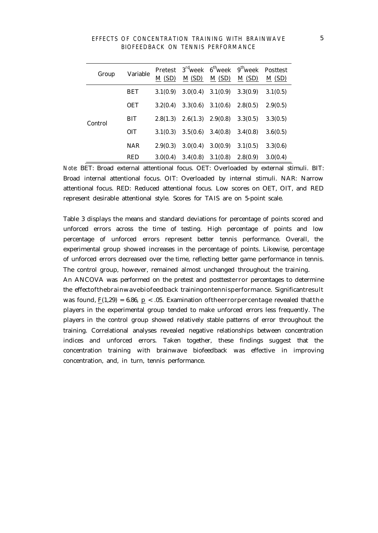|  |                                   |  | EFFECTS OF CONCENTRATION TRAINING WITH BRAINWAVE |
|--|-----------------------------------|--|--------------------------------------------------|
|  | BIOFEEDBACK ON TENNIS PERFORMANCE |  |                                                  |

| Group   | Variable   | M(SD)    |                       | $M(SD)$ $M(SD)$ $M(SD)$          | Pretest $3^{\text{rd}}$ week $6^{\text{th}}$ week $9^{\text{th}}$ week Posttest | M(SD)    |
|---------|------------|----------|-----------------------|----------------------------------|---------------------------------------------------------------------------------|----------|
| Control | <b>BET</b> | 3.1(0.9) |                       | $3.0(0.4)$ $3.1(0.9)$ $3.3(0.9)$ |                                                                                 | 3.1(0.5) |
|         | <b>OET</b> | 3.2(0.4) |                       | $3.3(0.6)$ $3.1(0.6)$ $2.8(0.5)$ |                                                                                 | 2.9(0.5) |
|         | <b>BIT</b> | 2.8(1.3) | $2.6(1.3)$ $2.9(0.8)$ |                                  | 3.3(0.5)                                                                        | 3.3(0.5) |
|         | OIT        | 3.1(0.3) |                       | $3.5(0.6)$ $3.4(0.8)$ $3.4(0.8)$ |                                                                                 | 3.6(0.5) |
|         | <b>NAR</b> | 2.9(0.3) | 3.0(0.4)              | 3.0(0.9)                         | 3.1(0.5)                                                                        | 3.3(0.6) |
|         | <b>RED</b> | 3.0(0.4) |                       | $3.4(0.8)$ $3.1(0.8)$ $2.8(0.9)$ |                                                                                 | 3.0(0.4) |

*Note*: BET: Broad external attentional focus. OET: Overloaded by external stimuli. BIT: Broad internal attentional focus. OIT: Overloaded by internal stimuli. NAR: Narrow attentional focus. RED: Reduced attentional focus. Low scores on OET, OIT, and RED represent desirable attentional style. Scores for TAIS are on 5-point scale.

Table 3 displays the means and standard deviations for percentage of points scored and unforced errors across the time of testing. High percentage of points and low percentage of unforced errors represent better tennis performance. Overall, the experimental group showed increases in the percentage of points. Likewise, percentage of unforced errors decreased over the time, reflecting better game performance in tennis. The control group, however, remained almost unchanged throughout the training. An ANCOVA was performed on the pretest and posttesterror percentages to determine the effectofthebrainwavebiofeedback trainingontennisperformance. Significantresult was found,  $F(1,29) = 6.86$ ,  $p < .05$ . Examination of the error percentage revealed that the players in the experimental group tended to make unforced errors less frequently. The players in the control group showed relatively stable patterns of error throughout the training. Correlational analyses revealed negative relationships between concentration indices and unforced errors. Taken together, these findings suggest that the concentration training with brainwave biofeedback was effective in improving concentration, and, in turn, tennis performance.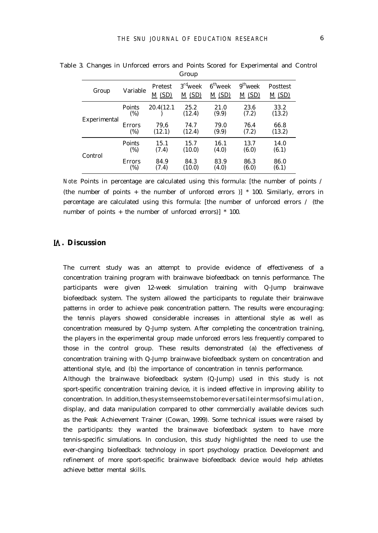|              |                         |                         | urvup                                        |                               |                     |                   |
|--------------|-------------------------|-------------------------|----------------------------------------------|-------------------------------|---------------------|-------------------|
| Group        | Variable                | <b>Pretest</b><br>M(SD) | 3 <sup>rd</sup> week<br>$\underline{M}$ (SD) | $6^{\text{th}}$ week<br>M(SD) | $9th$ week<br>M(SD) | Posttest<br>M(SD) |
| Experimental | Points<br>(%)           | 20.4(12.1)              | 25.2<br>(12.4)                               | 21.0<br>(9.9)                 | 23.6<br>(7.2)       | 33.2<br>(13.2)    |
|              | <b>Errors</b><br>$(\%)$ | 79,6<br>(12.1)          | 74.7<br>(12.4)                               | 79.0<br>(9.9)                 | 76.4<br>(7.2)       | 66.8<br>(13.2)    |
| Control      | Points<br>(%)           | 15.1<br>(7.4)           | 15.7<br>(10.0)                               | 16.1<br>(4.0)                 | 13.7<br>(6.0)       | 14.0<br>(6.1)     |
|              | <b>Errors</b><br>(%)    | 84.9<br>(7.4)           | 84.3<br>(10.0)                               | 83.9<br>(4.0)                 | 86.3<br>(6.0)       | 86.0<br>(6.1)     |

Table 3. Changes in Unforced errors and Points Scored for Experimental and Control Croup

*Note*: Points in percentage are calculated using this formula: [the number of points / (the number of points + the number of unforced errors )] \* 100. Similarly, errors in percentage are calculated using this formula: [the number of unforced errors / (the number of points + the number of unforced errors)] \* 100.

## **. Discussion**

The current study was an attempt to provide evidence of effectiveness of a concentration training program with brainwave biofeedback on tennis performance. The participants were given 12-week simulation training with Q-Jump brainwave biofeedback system. The system allowed the participants to regulate their brainwave patterns in order to achieve peak concentration pattern. The results were encouraging: the tennis players showed considerable increases in attentional style as well as concentration measured by Q-Jump system. After completing the concentration training, the players in the experimental group made unforced errors less frequently compared to those in the control group. These results demonstrated (a) the effectiveness of concentration training with Q-Jump brainwave biofeedback system on concentration and attentional style, and (b) the importance of concentration in tennis performance.

Although the brainwave biofeedback system (Q-Jump) used in this study is not sport-specific concentration training device, it is indeed effective in improving ability to concentration. In addition,thesystemseemstobemoreversatileintermsofsimulation, display, and data manipulation compared to other commercially available devices such as the Peak Achievement Trainer (Cowan, 1999). Some technical issues were raised by the participants: they wanted the brainwave biofeedback system to have more tennis-specific simulations. In conclusion, this study highlighted the need to use the ever-changing biofeedback technology in sport psychology practice. Development and refinement of more sport-specific brainwave biofeedback device would help athletes achieve better mental skills.